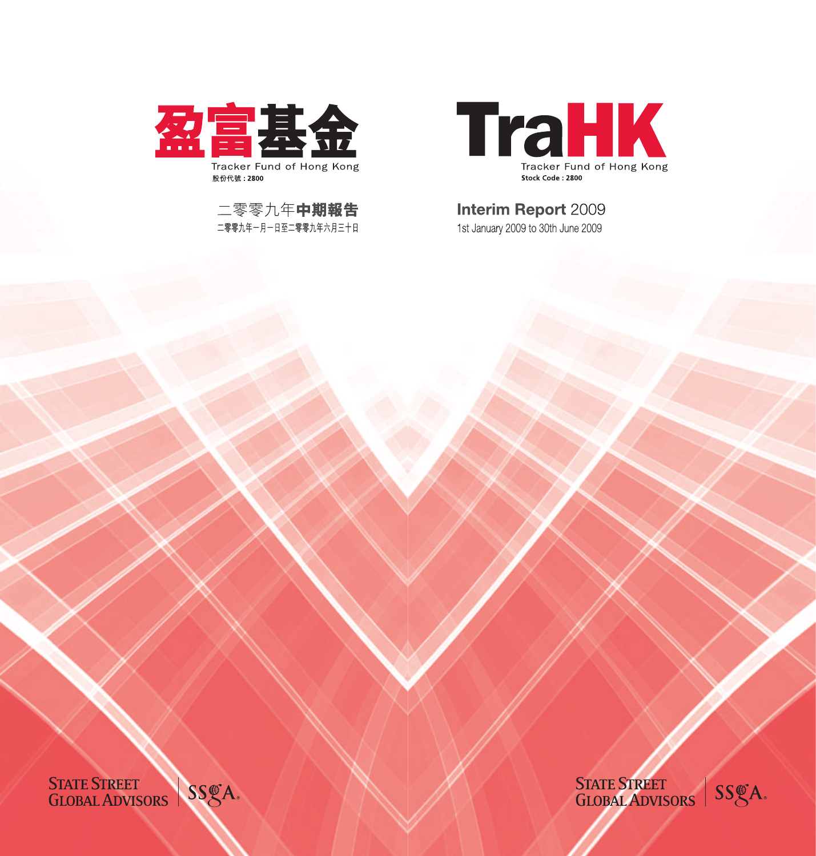

# **Interim Report 2009**

1st January 2009 to 30th June 2009

STATE STREET<br>GLOBAL ADVISORS | SSGA.

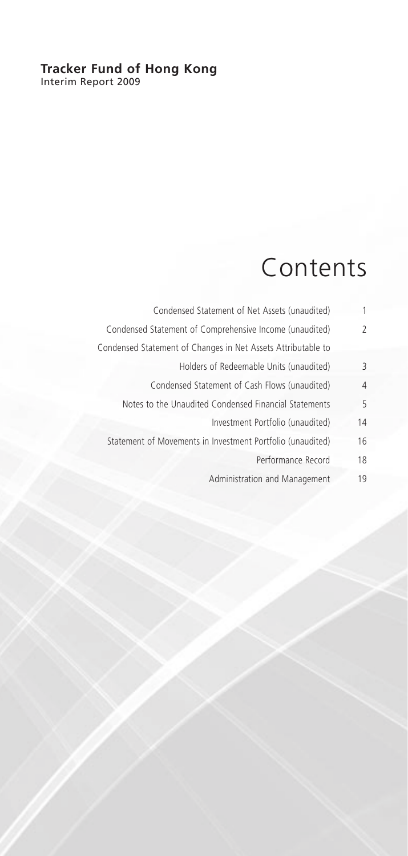### **Tracker Fund of Hong Kong** Interim Report 2009

# Contents

| 1  | Condensed Statement of Net Assets (unaudited)                |
|----|--------------------------------------------------------------|
| 2  | Condensed Statement of Comprehensive Income (unaudited)      |
|    | Condensed Statement of Changes in Net Assets Attributable to |
| 3  | Holders of Redeemable Units (unaudited)                      |
| 4  | Condensed Statement of Cash Flows (unaudited)                |
| 5  | Notes to the Unaudited Condensed Financial Statements        |
| 14 | Investment Portfolio (unaudited)                             |
| 16 | Statement of Movements in Investment Portfolio (unaudited)   |
| 18 | Performance Record                                           |
| 19 | Administration and Management                                |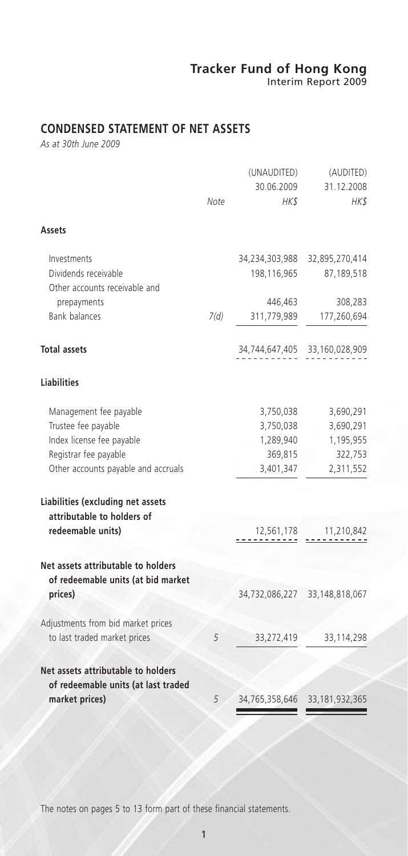Interim Report 2009

# **CONDENSED STATEMENT OF NET ASSETS**

*As at 30th June 2009*

|                                                                           |      | (UNAUDITED)<br>30.06.2009 | (AUDITED)<br>31.12.2008       |
|---------------------------------------------------------------------------|------|---------------------------|-------------------------------|
|                                                                           | Note | HK\$                      | HK\$                          |
| Assets                                                                    |      |                           |                               |
| Investments                                                               |      | 34,234,303,988            | 32,895,270,414                |
| Dividends receivable<br>Other accounts receivable and                     |      | 198,116,965               | 87,189,518                    |
| prepayments                                                               |      | 446,463                   | 308,283                       |
| <b>Bank balances</b>                                                      | 7(d) | 311,779,989               | 177,260,694                   |
| <b>Total assets</b>                                                       |      |                           | 34,744,647,405 33,160,028,909 |
| <b>Liabilities</b>                                                        |      |                           |                               |
| Management fee payable                                                    |      | 3,750,038                 | 3,690,291                     |
| Trustee fee payable                                                       |      | 3,750,038                 | 3,690,291                     |
| Index license fee payable                                                 |      | 1,289,940                 | 1,195,955                     |
| Registrar fee payable                                                     |      | 369,815                   | 322,753                       |
| Other accounts payable and accruals                                       |      | 3,401,347                 | 2,311,552                     |
| Liabilities (excluding net assets<br>attributable to holders of           |      |                           |                               |
| redeemable units)                                                         |      | 12,561,178                | 11,210,842                    |
| Net assets attributable to holders<br>of redeemable units (at bid market  |      |                           |                               |
| prices)                                                                   |      | 34,732,086,227            | 33, 148, 818, 067             |
| Adjustments from bid market prices<br>to last traded market prices        | 5    | 33,272,419                | 33,114,298                    |
|                                                                           |      |                           |                               |
| Net assets attributable to holders<br>of redeemable units (at last traded |      |                           |                               |
| market prices)                                                            | 5    | 34,765,358,646            | 33, 181, 932, 365             |

The notes on pages 5 to 13 form part of these financial statements.

1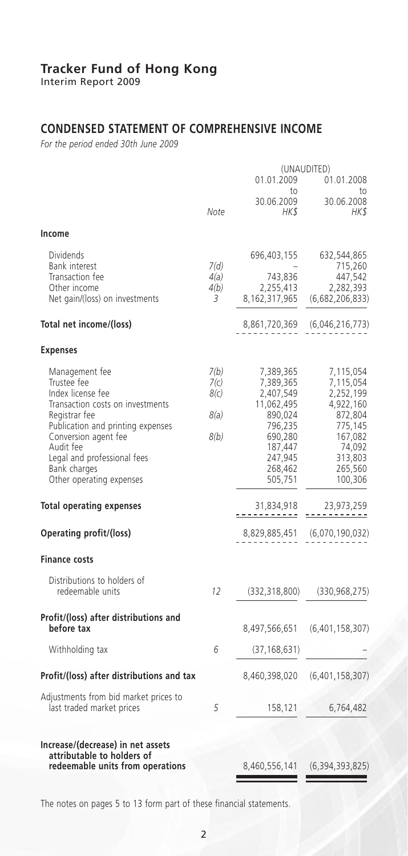Interim Report 2009

### **CONDENSED STATEMENT OF COMPREHENSIVE INCOME**

*For the period ended 30th June 2009*

|                                                                                                                                                                                                                                                              |                                      |                                                                                                                                | (UNAUDITED)                                                                                                                  |
|--------------------------------------------------------------------------------------------------------------------------------------------------------------------------------------------------------------------------------------------------------------|--------------------------------------|--------------------------------------------------------------------------------------------------------------------------------|------------------------------------------------------------------------------------------------------------------------------|
|                                                                                                                                                                                                                                                              |                                      | 01.01.2009                                                                                                                     | 01.01.2008                                                                                                                   |
|                                                                                                                                                                                                                                                              | Note                                 | to<br>30.06.2009<br>HKS                                                                                                        | to<br>30.06.2008<br>HK\$                                                                                                     |
| Income                                                                                                                                                                                                                                                       |                                      |                                                                                                                                |                                                                                                                              |
| <b>Dividends</b><br>Bank interest<br>Transaction fee<br>Other income<br>Net gain/(loss) on investments                                                                                                                                                       | 7(d)<br>4(a)<br>4(b)<br>3            | 696,403,155<br>743,836<br>2,255,413<br>8,162,317,965                                                                           | 632,544,865<br>715,260<br>447,542<br>2,282,393<br>(6,682,206,833)                                                            |
| Total net income/(loss)                                                                                                                                                                                                                                      |                                      | 8,861,720,369                                                                                                                  | (6,046,216,773)                                                                                                              |
| <b>Expenses</b>                                                                                                                                                                                                                                              |                                      |                                                                                                                                |                                                                                                                              |
| Management fee<br>Trustee fee<br>Index license fee<br>Transaction costs on investments<br>Registrar fee<br>Publication and printing expenses<br>Conversion agent fee<br>Audit fee<br>Legal and professional fees<br>Bank charges<br>Other operating expenses | 7(b)<br>7(c)<br>8(c)<br>8(a)<br>8(b) | 7,389,365<br>7,389,365<br>2,407,549<br>11,062,495<br>890,024<br>796,235<br>690,280<br>187,447<br>247,945<br>268,462<br>505,751 | 7,115,054<br>7,115,054<br>2,252,199<br>4,922,160<br>872,804<br>775,145<br>167,082<br>74,092<br>313,803<br>265,560<br>100,306 |
| <b>Total operating expenses</b>                                                                                                                                                                                                                              |                                      | 31,834,918                                                                                                                     | 23,973,259<br><u>------</u>                                                                                                  |
| Operating profit/(loss)                                                                                                                                                                                                                                      |                                      | 8,829,885,451                                                                                                                  | (6,070,190,032)                                                                                                              |
| <b>Finance costs</b>                                                                                                                                                                                                                                         |                                      |                                                                                                                                |                                                                                                                              |
| Distributions to holders of<br>redeemable units                                                                                                                                                                                                              | 12                                   | (332, 318, 800)                                                                                                                | (330, 968, 275)                                                                                                              |
| Profit/(loss) after distributions and<br>before tax                                                                                                                                                                                                          |                                      | 8,497,566,651                                                                                                                  | (6,401,158,307)                                                                                                              |
| Withholding tax                                                                                                                                                                                                                                              | 6                                    | (37, 168, 631)                                                                                                                 |                                                                                                                              |
| Profit/(loss) after distributions and tax                                                                                                                                                                                                                    |                                      | 8,460,398,020                                                                                                                  | (6,401,158,307)                                                                                                              |
| Adjustments from bid market prices to<br>last traded market prices                                                                                                                                                                                           | 5                                    | 158,121                                                                                                                        | 6,764,482                                                                                                                    |
| Increase/(decrease) in net assets<br>attributable to holders of<br>redeemable units from operations                                                                                                                                                          |                                      | 8,460,556,141                                                                                                                  | (6, 394, 393, 825)                                                                                                           |
|                                                                                                                                                                                                                                                              |                                      |                                                                                                                                |                                                                                                                              |

The notes on pages 5 to 13 form part of these financial statements.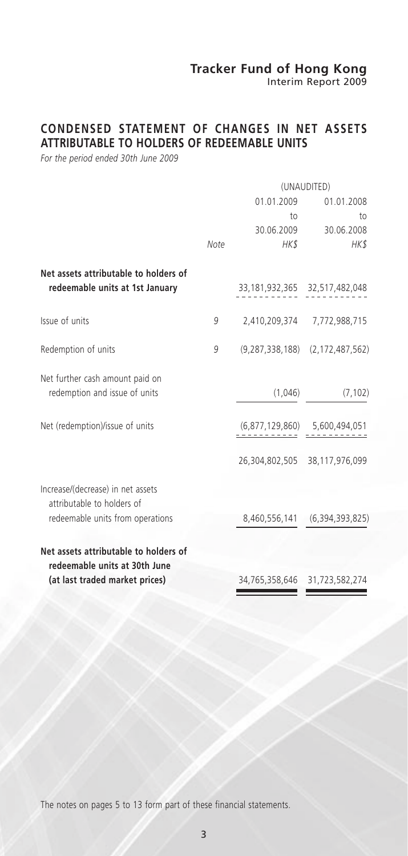Interim Report 2009

### **CONDENSED STATEMENT OF CHANGES IN NET ASSETS ATTRIBUTABLE TO HOLDERS OF REDEEMABLE UNITS**

*For the period ended 30th June 2009*

|                                       |            | (UNAUDITED) |                                           |  |
|---------------------------------------|------------|-------------|-------------------------------------------|--|
|                                       | 01.01.2009 |             | 01.01.2008                                |  |
|                                       |            | to          | to                                        |  |
|                                       |            |             | 30.06.2009 30.06.2008                     |  |
|                                       | Note       | HK\$        | HK\$                                      |  |
| Net assets attributable to holders of |            |             |                                           |  |
| redeemable units at 1st January       |            |             | 33, 181, 932, 365 32, 517, 482, 048       |  |
| Issue of units                        | 9          |             | 2,410,209,374 7,772,988,715               |  |
| Redemption of units                   | 9          |             | $(9, 287, 338, 188)$ $(2, 172, 487, 562)$ |  |
| Net further cash amount paid on       |            |             |                                           |  |
| redemption and issue of units         |            | (1,046)     | (7, 102)                                  |  |
| Net (redemption)/issue of units       |            |             | $(6,877,129,860)$ 5,600,494,051           |  |
|                                       |            |             | 26,304,802,505 38,117,976,099             |  |
| Increase/(decrease) in net assets     |            |             |                                           |  |
| attributable to holders of            |            |             |                                           |  |
| redeemable units from operations      |            |             | 8,460,556,141 (6,394,393,825)             |  |
| Net assets attributable to holders of |            |             |                                           |  |
| redeemable units at 30th June         |            |             |                                           |  |
| (at last traded market prices)        |            |             | 34,765,358,646 31,723,582,274             |  |

The notes on pages 5 to 13 form part of these financial statements.

3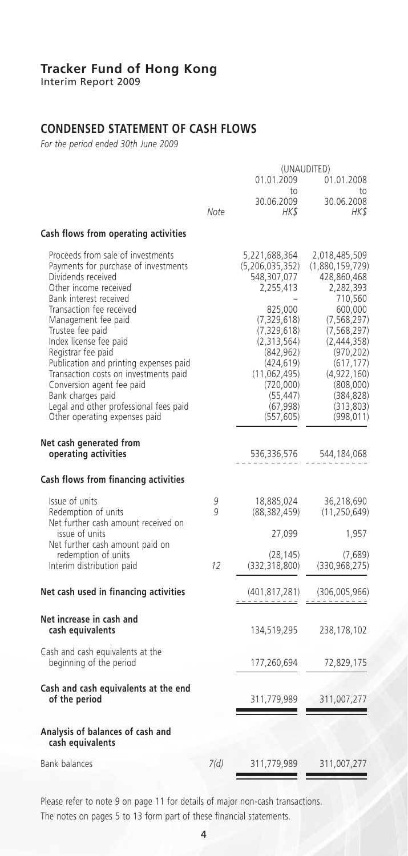Interim Report 2009

### **CONDENSED STATEMENT OF CASH FLOWS**

*For the period ended 30th June 2009*

|                                                                                                                                                                                                                                                                                                                                                                                                                                                                                           |        |                                                                                                                                                                                                                              | (UNAUDITED)                                                                                                                                                                                                                           |
|-------------------------------------------------------------------------------------------------------------------------------------------------------------------------------------------------------------------------------------------------------------------------------------------------------------------------------------------------------------------------------------------------------------------------------------------------------------------------------------------|--------|------------------------------------------------------------------------------------------------------------------------------------------------------------------------------------------------------------------------------|---------------------------------------------------------------------------------------------------------------------------------------------------------------------------------------------------------------------------------------|
|                                                                                                                                                                                                                                                                                                                                                                                                                                                                                           |        | 01.01.2009<br>to                                                                                                                                                                                                             | 01.01.2008<br>to                                                                                                                                                                                                                      |
|                                                                                                                                                                                                                                                                                                                                                                                                                                                                                           | Note   | 30.06.2009<br>HKS                                                                                                                                                                                                            | 30.06.2008<br>HK\$                                                                                                                                                                                                                    |
| Cash flows from operating activities                                                                                                                                                                                                                                                                                                                                                                                                                                                      |        |                                                                                                                                                                                                                              |                                                                                                                                                                                                                                       |
| Proceeds from sale of investments<br>Payments for purchase of investments<br>Dividends received<br>Other income received<br>Bank interest received<br>Transaction fee received<br>Management fee paid<br>Trustee fee paid<br>Index license fee paid<br>Registrar fee paid<br>Publication and printing expenses paid<br>Transaction costs on investments paid<br>Conversion agent fee paid<br>Bank charges paid<br>Legal and other professional fees paid<br>Other operating expenses paid |        | 5,221,688,364<br>(5, 206, 035, 352)<br>548,307,077<br>2,255,413<br>825,000<br>(7, 329, 618)<br>(7, 329, 618)<br>(2,313,564)<br>(842, 962)<br>(424, 619)<br>(11,062,495)<br>(720,000)<br>(55, 447)<br>(67, 998)<br>(557, 605) | 2,018,485,509<br>(1,880,159,729)<br>428,860,468<br>2,282,393<br>710,560<br>600,000<br>(7, 568, 297)<br>(7, 568, 297)<br>(2,444,358)<br>(970, 202)<br>(617, 177)<br>(4,922,160)<br>(808,000)<br>(384, 828)<br>(313, 803)<br>(998, 011) |
| Net cash generated from<br>operating activities                                                                                                                                                                                                                                                                                                                                                                                                                                           |        | 536,336,576                                                                                                                                                                                                                  | 544,184,068                                                                                                                                                                                                                           |
| Cash flows from financing activities                                                                                                                                                                                                                                                                                                                                                                                                                                                      |        |                                                                                                                                                                                                                              |                                                                                                                                                                                                                                       |
| Issue of units<br>Redemption of units<br>Net further cash amount received on                                                                                                                                                                                                                                                                                                                                                                                                              | 9<br>g | 18,885,024<br>(88,382,459)                                                                                                                                                                                                   | 36,218,690<br>(11, 250, 649)                                                                                                                                                                                                          |
| issue of units<br>Net further cash amount paid on                                                                                                                                                                                                                                                                                                                                                                                                                                         |        | 27,099                                                                                                                                                                                                                       | 1,957                                                                                                                                                                                                                                 |
| redemption of units<br>Interim distribution paid                                                                                                                                                                                                                                                                                                                                                                                                                                          | 12     | (28, 145)<br>(332, 318, 800)                                                                                                                                                                                                 | (7,689)<br>(330, 968, 275)                                                                                                                                                                                                            |
| Net cash used in financing activities                                                                                                                                                                                                                                                                                                                                                                                                                                                     |        | (401, 817, 281)                                                                                                                                                                                                              | (306,005,966)                                                                                                                                                                                                                         |
| Net increase in cash and<br>cash equivalents                                                                                                                                                                                                                                                                                                                                                                                                                                              |        | 134,519,295                                                                                                                                                                                                                  | 238,178,102                                                                                                                                                                                                                           |
| Cash and cash equivalents at the<br>beginning of the period                                                                                                                                                                                                                                                                                                                                                                                                                               |        | 177,260,694                                                                                                                                                                                                                  | 72,829,175                                                                                                                                                                                                                            |
| Cash and cash equivalents at the end<br>of the period                                                                                                                                                                                                                                                                                                                                                                                                                                     |        | 311,779,989                                                                                                                                                                                                                  | 311,007,277                                                                                                                                                                                                                           |
| Analysis of balances of cash and<br>cash equivalents                                                                                                                                                                                                                                                                                                                                                                                                                                      |        |                                                                                                                                                                                                                              |                                                                                                                                                                                                                                       |
| <b>Bank balances</b>                                                                                                                                                                                                                                                                                                                                                                                                                                                                      | 7(d)   | 311,779,989                                                                                                                                                                                                                  | 311,007,277                                                                                                                                                                                                                           |

Please refer to note 9 on page 11 for details of major non-cash transactions. The notes on pages 5 to 13 form part of these financial statements.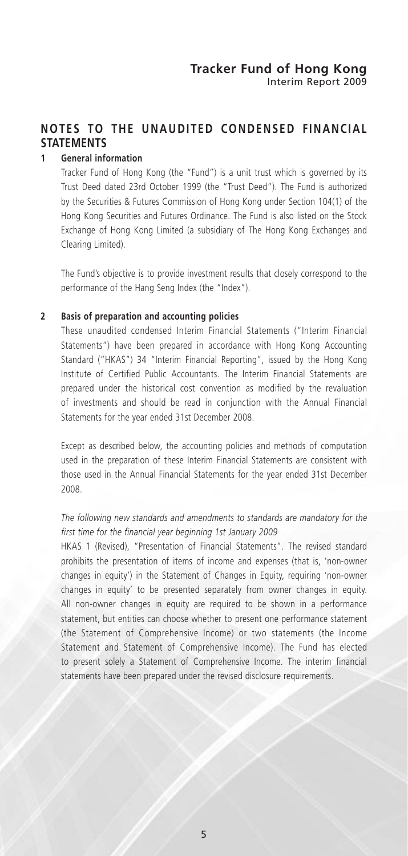### **NOTES TO THE UNAUDITED CONDENSED FINANCIAL STATEMENTS**

#### **1 General information**

Tracker Fund of Hong Kong (the "Fund") is a unit trust which is governed by its Trust Deed dated 23rd October 1999 (the "Trust Deed"). The Fund is authorized by the Securities & Futures Commission of Hong Kong under Section 104(1) of the Hong Kong Securities and Futures Ordinance. The Fund is also listed on the Stock Exchange of Hong Kong Limited (a subsidiary of The Hong Kong Exchanges and Clearing Limited).

The Fund's objective is to provide investment results that closely correspond to the performance of the Hang Seng Index (the "Index").

#### **2 Basis of preparation and accounting policies**

These unaudited condensed Interim Financial Statements ("Interim Financial Statements") have been prepared in accordance with Hong Kong Accounting Standard ("HKAS") 34 "Interim Financial Reporting", issued by the Hong Kong Institute of Certified Public Accountants. The Interim Financial Statements are prepared under the historical cost convention as modified by the revaluation of investments and should be read in conjunction with the Annual Financial Statements for the year ended 31st December 2008.

Except as described below, the accounting policies and methods of computation used in the preparation of these Interim Financial Statements are consistent with those used in the Annual Financial Statements for the year ended 31st December 2008.

*The following new standards and amendments to standards are mandatory for the first time for the financial year beginning 1st January 2009*

HKAS 1 (Revised), "Presentation of Financial Statements". The revised standard prohibits the presentation of items of income and expenses (that is, 'non-owner changes in equity') in the Statement of Changes in Equity, requiring 'non-owner changes in equity' to be presented separately from owner changes in equity. All non-owner changes in equity are required to be shown in a performance statement, but entities can choose whether to present one performance statement (the Statement of Comprehensive Income) or two statements (the Income Statement and Statement of Comprehensive Income). The Fund has elected to present solely a Statement of Comprehensive Income. The interim financial statements have been prepared under the revised disclosure requirements.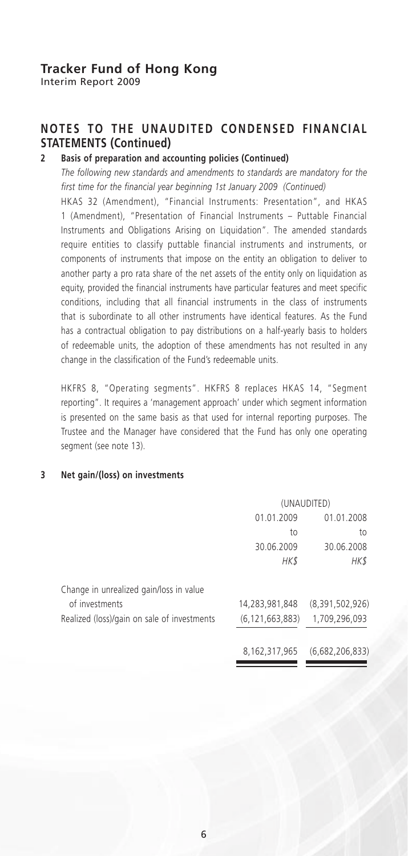Interim Report 2009

### **NOTES TO THE UNAUDITED CONDENSED FINANCIAL STATEMENTS (Continued)**

### **2 Basis of preparation and accounting policies (Continued)**

*The following new standards and amendments to standards are mandatory for the first time for the financial year beginning 1st January 2009 (Continued)*

HKAS 32 (Amendment), "Financial Instruments: Presentation", and HKAS 1 (Amendment), "Presentation of Financial Instruments – Puttable Financial Instruments and Obligations Arising on Liquidation". The amended standards require entities to classify puttable financial instruments and instruments, or components of instruments that impose on the entity an obligation to deliver to another party a pro rata share of the net assets of the entity only on liquidation as equity, provided the financial instruments have particular features and meet specific conditions, including that all financial instruments in the class of instruments that is subordinate to all other instruments have identical features. As the Fund has a contractual obligation to pay distributions on a half-yearly basis to holders of redeemable units, the adoption of these amendments has not resulted in any change in the classification of the Fund's redeemable units.

HKFRS 8, "Operating segments". HKFRS 8 replaces HKAS 14, "Segment reporting". It requires a 'management approach' under which segment information is presented on the same basis as that used for internal reporting purposes. The Trustee and the Manager have considered that the Fund has only one operating segment (see note 13).

#### **3 Net gain/(loss) on investments**

|                                             | (UNAUDITED)        |                 |  |
|---------------------------------------------|--------------------|-----------------|--|
|                                             | 01.01.2009         | 01.01.2008      |  |
|                                             | to                 | to              |  |
|                                             | 30.06.2009         | 30.06.2008      |  |
|                                             | HK\$               | HK\$            |  |
| Change in unrealized gain/loss in value     |                    |                 |  |
| of investments                              | 14,283,981,848     | (8,391,502,926) |  |
| Realized (loss)/gain on sale of investments | (6, 121, 663, 883) | 1,709,296,093   |  |
|                                             | 8,162,317,965      | (6,682,206,833) |  |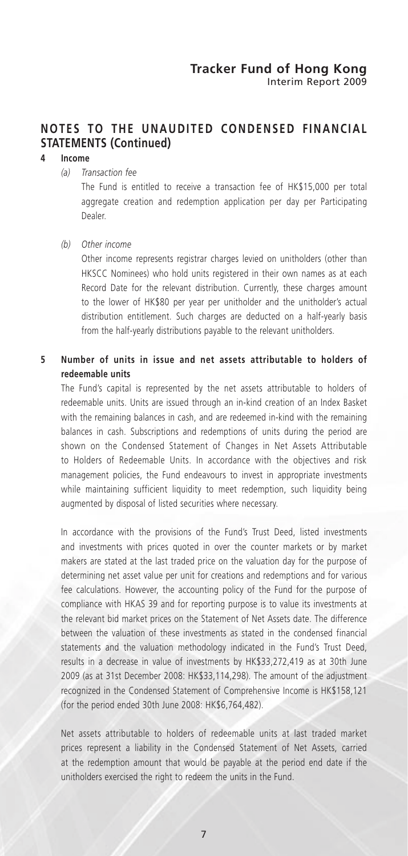### **NOTES TO THE UNAUDITED CONDENSED FINANCIAL STATEMENTS (Continued)**

### **4 Income**

#### *(a) Transaction fee*

The Fund is entitled to receive a transaction fee of HK\$15,000 per total aggregate creation and redemption application per day per Participating Dealer.

#### *(b) Other income*

Other income represents registrar charges levied on unitholders (other than HKSCC Nominees) who hold units registered in their own names as at each Record Date for the relevant distribution. Currently, these charges amount to the lower of HK\$80 per year per unitholder and the unitholder's actual distribution entitlement. Such charges are deducted on a half-yearly basis from the half-yearly distributions payable to the relevant unitholders.

### **5 Number of units in issue and net assets attributable to holders of redeemable units**

The Fund's capital is represented by the net assets attributable to holders of redeemable units. Units are issued through an in-kind creation of an Index Basket with the remaining balances in cash, and are redeemed in-kind with the remaining balances in cash. Subscriptions and redemptions of units during the period are shown on the Condensed Statement of Changes in Net Assets Attributable to Holders of Redeemable Units. In accordance with the objectives and risk management policies, the Fund endeavours to invest in appropriate investments while maintaining sufficient liquidity to meet redemption, such liquidity being augmented by disposal of listed securities where necessary.

In accordance with the provisions of the Fund's Trust Deed, listed investments and investments with prices quoted in over the counter markets or by market makers are stated at the last traded price on the valuation day for the purpose of determining net asset value per unit for creations and redemptions and for various fee calculations. However, the accounting policy of the Fund for the purpose of compliance with HKAS 39 and for reporting purpose is to value its investments at the relevant bid market prices on the Statement of Net Assets date. The difference between the valuation of these investments as stated in the condensed financial statements and the valuation methodology indicated in the Fund's Trust Deed, results in a decrease in value of investments by HK\$33,272,419 as at 30th June 2009 (as at 31st December 2008: HK\$33,114,298). The amount of the adjustment recognized in the Condensed Statement of Comprehensive Income is HK\$158,121 (for the period ended 30th June 2008: HK\$6,764,482).

Net assets attributable to holders of redeemable units at last traded market prices represent a liability in the Condensed Statement of Net Assets, carried at the redemption amount that would be payable at the period end date if the unitholders exercised the right to redeem the units in the Fund.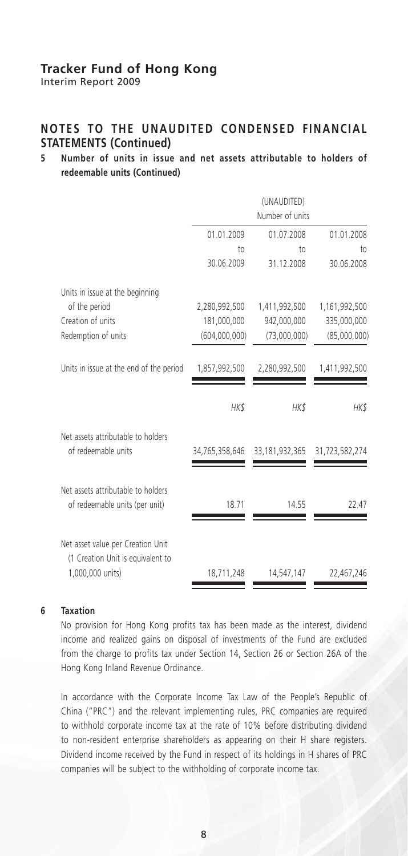Interim Report 2009

### **NOTES TO THE UNAUDITED CONDENSED FINANCIAL STATEMENTS (Continued)**

### **5 Number of units in issue and net assets attributable to holders of redeemable units (Continued)**

|                 | (UNAUDITED)<br>Number of units |                 |
|-----------------|--------------------------------|-----------------|
| 01.01.2009      | 01.07.2008                     | 01.01.2008      |
| 10 <sub>0</sub> | $10$                           | 10 <sub>1</sub> |
| 30.06.2009      | 31.12.2008                     | 30.06.2008      |
|                 |                                |                 |
| 2,280,992,500   | 1,411,992,500                  | 1,161,992,500   |
| 181,000,000     | 942,000,000                    | 335,000,000     |
| (604.000.000)   | (73,000,000)                   | (85,000,000)    |
| 1,857,992,500   | 2,280,992,500                  | 1,411,992,500   |
| HK\$            | HK\$                           | HK\$            |
| 34,765,358,646  | 33, 181, 932, 365              | 31,723,582,274  |
| 18.71           | 14.55                          | 22.47           |
| 18,711,248      | 14,547,147                     | 22,467,246      |
|                 |                                |                 |

#### **6 Taxation**

No provision for Hong Kong profits tax has been made as the interest, dividend income and realized gains on disposal of investments of the Fund are excluded from the charge to profits tax under Section 14, Section 26 or Section 26A of the Hong Kong Inland Revenue Ordinance.

In accordance with the Corporate Income Tax Law of the People's Republic of China ("PRC") and the relevant implementing rules, PRC companies are required to withhold corporate income tax at the rate of 10% before distributing dividend to non-resident enterprise shareholders as appearing on their H share registers. Dividend income received by the Fund in respect of its holdings in H shares of PRC companies will be subject to the withholding of corporate income tax.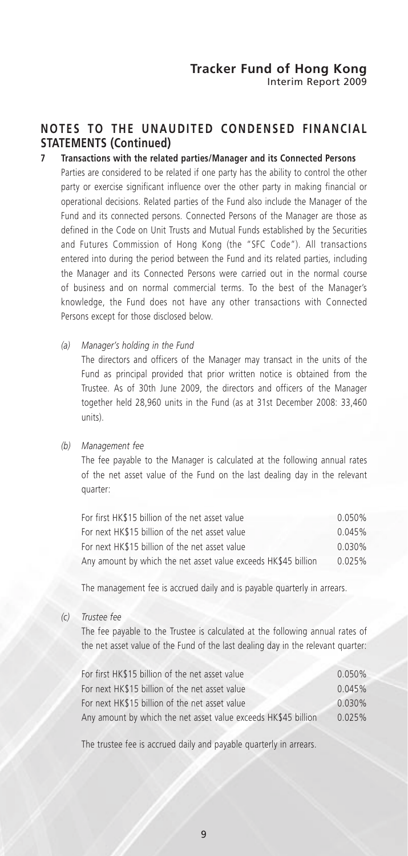### **NOTES TO THE UNAUDITED CONDENSED FINANCIAL STATEMENTS (Continued)**

### **7 Transactions with the related parties/Manager and its Connected Persons**

Parties are considered to be related if one party has the ability to control the other party or exercise significant influence over the other party in making financial or operational decisions. Related parties of the Fund also include the Manager of the Fund and its connected persons. Connected Persons of the Manager are those as defined in the Code on Unit Trusts and Mutual Funds established by the Securities and Futures Commission of Hong Kong (the "SFC Code"). All transactions entered into during the period between the Fund and its related parties, including the Manager and its Connected Persons were carried out in the normal course of business and on normal commercial terms. To the best of the Manager's knowledge, the Fund does not have any other transactions with Connected Persons except for those disclosed below.

*(a) Manager's holding in the Fund*

The directors and officers of the Manager may transact in the units of the Fund as principal provided that prior written notice is obtained from the Trustee. As of 30th June 2009, the directors and officers of the Manager together held 28,960 units in the Fund (as at 31st December 2008: 33,460 units).

#### *(b) Management fee*

The fee payable to the Manager is calculated at the following annual rates of the net asset value of the Fund on the last dealing day in the relevant quarter:

| For first HK\$15 billion of the net asset value                | 0.050% |
|----------------------------------------------------------------|--------|
| For next HK\$15 billion of the net asset value                 | 0.045% |
| For next HK\$15 billion of the net asset value                 | 0.030% |
| Any amount by which the net asset value exceeds HK\$45 billion | 0.025% |

The management fee is accrued daily and is payable quarterly in arrears.

*(c) Trustee fee*

The fee payable to the Trustee is calculated at the following annual rates of the net asset value of the Fund of the last dealing day in the relevant quarter:

| For first HK\$15 billion of the net asset value                | 0.050% |
|----------------------------------------------------------------|--------|
| For next HK\$15 billion of the net asset value                 | 0.045% |
| For next HK\$15 billion of the net asset value                 | 0.030% |
| Any amount by which the net asset value exceeds HK\$45 billion | 0.025% |

The trustee fee is accrued daily and payable quarterly in arrears.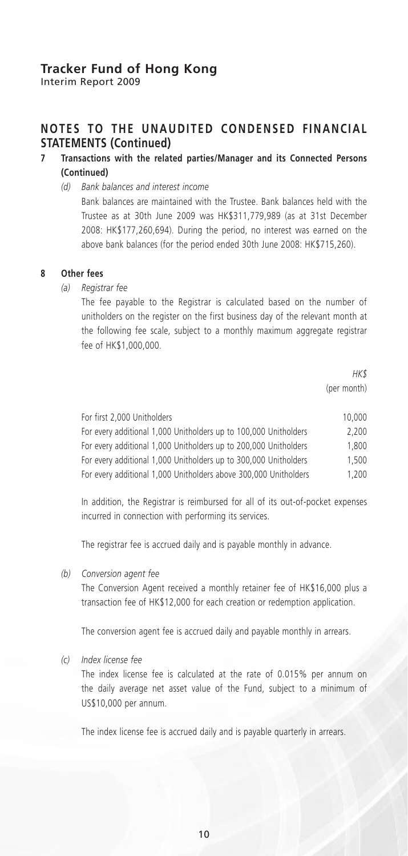Interim Report 2009

### **NOTES TO THE UNAUDITED CONDENSED FINANCIAL STATEMENTS (Continued)**

### **7 Transactions with the related parties/Manager and its Connected Persons (Continued)**

*(d) Bank balances and interest income*

Bank balances are maintained with the Trustee. Bank balances held with the Trustee as at 30th June 2009 was HK\$311,779,989 (as at 31st December 2008: HK\$177,260,694). During the period, no interest was earned on the above bank balances (for the period ended 30th June 2008: HK\$715,260).

#### **8 Other fees**

#### *(a) Registrar fee*

The fee payable to the Registrar is calculated based on the number of unitholders on the register on the first business day of the relevant month at the following fee scale, subject to a monthly maximum aggregate registrar fee of HK\$1,000,000.

> *HK\$* (per month)

| For first 2,000 Unitholders                                      | 10,000 |
|------------------------------------------------------------------|--------|
| For every additional 1,000 Unitholders up to 100,000 Unitholders | 2.200  |
| For every additional 1,000 Unitholders up to 200,000 Unitholders | 1.800  |
| For every additional 1,000 Unitholders up to 300,000 Unitholders | 1.500  |
| For every additional 1,000 Unitholders above 300,000 Unitholders | 1.200  |

In addition, the Registrar is reimbursed for all of its out-of-pocket expenses incurred in connection with performing its services.

The registrar fee is accrued daily and is payable monthly in advance.

*(b) Conversion agent fee*

The Conversion Agent received a monthly retainer fee of HK\$16,000 plus a transaction fee of HK\$12,000 for each creation or redemption application.

The conversion agent fee is accrued daily and payable monthly in arrears.

*(c) Index license fee*

The index license fee is calculated at the rate of 0.015% per annum on the daily average net asset value of the Fund, subject to a minimum of US\$10,000 per annum.

The index license fee is accrued daily and is payable quarterly in arrears.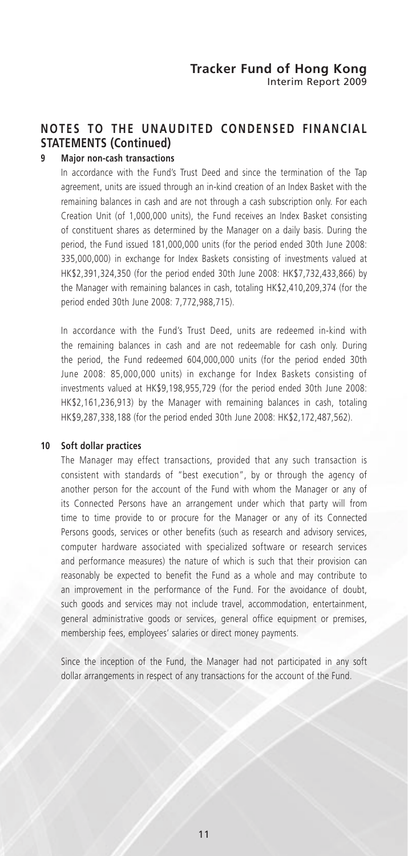# **NOTES TO THE UNAUDITED CONDENSED FINANCIAL STATEMENTS (Continued)**

### **9 Major non-cash transactions**

In accordance with the Fund's Trust Deed and since the termination of the Tap agreement, units are issued through an in-kind creation of an Index Basket with the remaining balances in cash and are not through a cash subscription only. For each Creation Unit (of 1,000,000 units), the Fund receives an Index Basket consisting of constituent shares as determined by the Manager on a daily basis. During the period, the Fund issued 181,000,000 units (for the period ended 30th June 2008: 335,000,000) in exchange for Index Baskets consisting of investments valued at HK\$2,391,324,350 (for the period ended 30th June 2008: HK\$7,732,433,866) by the Manager with remaining balances in cash, totaling HK\$2,410,209,374 (for the period ended 30th June 2008: 7,772,988,715).

In accordance with the Fund's Trust Deed, units are redeemed in-kind with the remaining balances in cash and are not redeemable for cash only. During the period, the Fund redeemed 604,000,000 units (for the period ended 30th June 2008: 85,000,000 units) in exchange for Index Baskets consisting of investments valued at HK\$9,198,955,729 (for the period ended 30th June 2008: HK\$2,161,236,913) by the Manager with remaining balances in cash, totaling HK\$9,287,338,188 (for the period ended 30th June 2008: HK\$2,172,487,562).

#### **10 Soft dollar practices**

The Manager may effect transactions, provided that any such transaction is consistent with standards of "best execution", by or through the agency of another person for the account of the Fund with whom the Manager or any of its Connected Persons have an arrangement under which that party will from time to time provide to or procure for the Manager or any of its Connected Persons goods, services or other benefits (such as research and advisory services, computer hardware associated with specialized software or research services and performance measures) the nature of which is such that their provision can reasonably be expected to benefit the Fund as a whole and may contribute to an improvement in the performance of the Fund. For the avoidance of doubt, such goods and services may not include travel, accommodation, entertainment, general administrative goods or services, general office equipment or premises, membership fees, employees' salaries or direct money payments.

Since the inception of the Fund, the Manager had not participated in any soft dollar arrangements in respect of any transactions for the account of the Fund.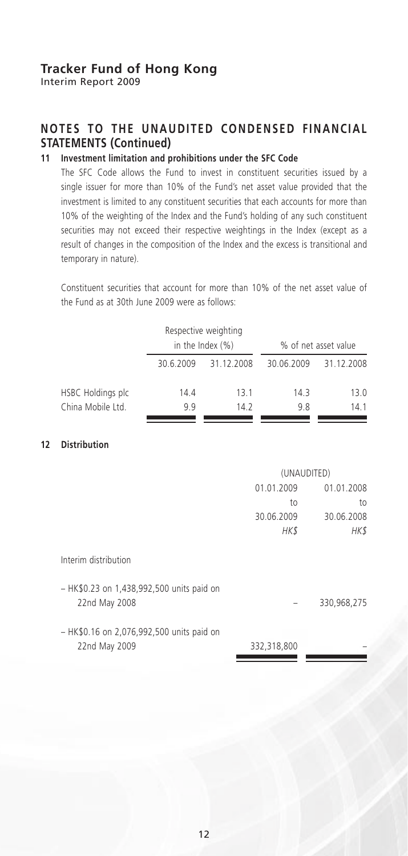Interim Report 2009

### **NOTES TO THE UNAUDITED CONDENSED FINANCIAL STATEMENTS (Continued)**

### **11 Investment limitation and prohibitions under the SFC Code**

The SFC Code allows the Fund to invest in constituent securities issued by a single issuer for more than 10% of the Fund's net asset value provided that the investment is limited to any constituent securities that each accounts for more than 10% of the weighting of the Index and the Fund's holding of any such constituent securities may not exceed their respective weightings in the Index (except as a result of changes in the composition of the Index and the excess is transitional and temporary in nature).

Constituent securities that account for more than 10% of the net asset value of the Fund as at 30th June 2009 were as follows:

|                   |           | Respective weighting<br>in the Index $(\%)$ |            | % of net asset value |
|-------------------|-----------|---------------------------------------------|------------|----------------------|
|                   | 30.6.2009 | 31.12.2008                                  | 30.06.2009 | 31.12.2008           |
| HSBC Holdings plc | 14.4      | 13.1                                        | 14.3       | 13.0                 |
| China Mobile Ltd. | 9 9       | 14.2                                        | 9.8        | 14.1                 |

### **12 Distribution**

|                                           | (UNAUDITED) |             |  |
|-------------------------------------------|-------------|-------------|--|
|                                           | 01.01.2009  | 01.01.2008  |  |
|                                           | to          | to          |  |
|                                           | 30.06.2009  | 30.06.2008  |  |
|                                           | HK\$        | HK\$        |  |
| Interim distribution                      |             |             |  |
| - HK\$0.23 on 1,438,992,500 units paid on |             |             |  |
| 22nd May 2008                             |             | 330,968,275 |  |
| - HK\$0.16 on 2,076,992,500 units paid on |             |             |  |
| 22nd May 2009                             | 332,318,800 |             |  |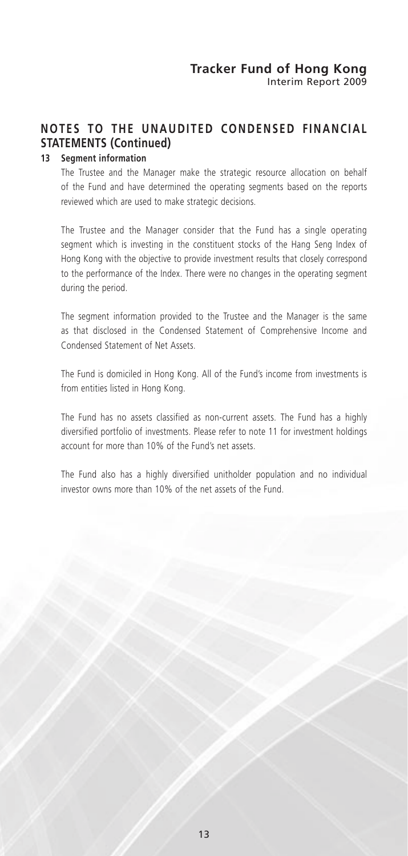# **NOTES TO THE UNAUDITED CONDENSED FINANCIAL STATEMENTS (Continued)**

### **13 Segment information**

The Trustee and the Manager make the strategic resource allocation on behalf of the Fund and have determined the operating segments based on the reports reviewed which are used to make strategic decisions.

The Trustee and the Manager consider that the Fund has a single operating segment which is investing in the constituent stocks of the Hang Seng Index of Hong Kong with the objective to provide investment results that closely correspond to the performance of the Index. There were no changes in the operating segment during the period.

The segment information provided to the Trustee and the Manager is the same as that disclosed in the Condensed Statement of Comprehensive Income and Condensed Statement of Net Assets.

The Fund is domiciled in Hong Kong. All of the Fund's income from investments is from entities listed in Hong Kong.

The Fund has no assets classified as non-current assets. The Fund has a highly diversified portfolio of investments. Please refer to note 11 for investment holdings account for more than 10% of the Fund's net assets.

The Fund also has a highly diversified unitholder population and no individual investor owns more than 10% of the net assets of the Fund.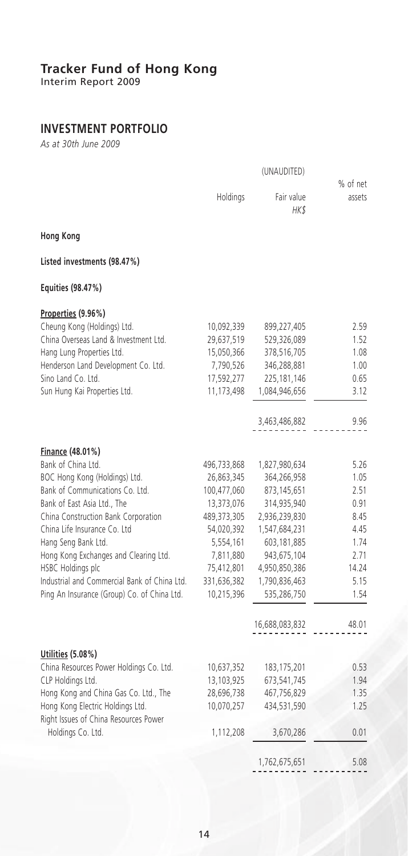Interim Report 2009

# **INVESTMENT PORTFOLIO**

*As at 30th June 2009*

|                                                                           | Holdings    | Fair value<br>HK\$ | % of net<br>assets |
|---------------------------------------------------------------------------|-------------|--------------------|--------------------|
| <b>Hong Kong</b>                                                          |             |                    |                    |
| Listed investments (98.47%)                                               |             |                    |                    |
| Equities (98.47%)                                                         |             |                    |                    |
| Properties (9.96%)                                                        |             |                    |                    |
| Cheung Kong (Holdings) Ltd.                                               | 10,092,339  | 899,227,405        | 2.59               |
| China Overseas Land & Investment Ltd.                                     | 29,637,519  | 529,326,089        | 1.52               |
| Hang Lung Properties Ltd.                                                 | 15,050,366  | 378,516,705        | 1.08               |
| Henderson Land Development Co. Ltd.                                       | 7,790,526   | 346,288,881        | 1.00               |
| Sino Land Co. Ltd.                                                        | 17,592,277  | 225,181,146        | 0.65               |
| Sun Hung Kai Properties Ltd.                                              | 11,173,498  | 1,084,946,656      | 3.12               |
|                                                                           |             | 3,463,486,882      | 9.96               |
| Finance (48.01%)                                                          |             |                    |                    |
| Bank of China Ltd.                                                        | 496,733,868 | 1,827,980,634      | 5.26               |
| BOC Hong Kong (Holdings) Ltd.                                             | 26,863,345  | 364,266,958        | 1.05               |
| Bank of Communications Co. Ltd.                                           | 100,477,060 | 873,145,651        | 2.51               |
| Bank of East Asia Ltd., The                                               | 13,373,076  | 314,935,940        | 0.91               |
| China Construction Bank Corporation                                       | 489,373,305 | 2,936,239,830      | 8.45               |
| China Life Insurance Co. Ltd                                              | 54,020,392  | 1,547,684,231      | 4.45               |
| Hang Seng Bank Ltd.                                                       | 5,554,161   | 603,181,885        | 1.74               |
| Hong Kong Exchanges and Clearing Ltd.                                     | 7,811,880   | 943,675,104        | 2.71               |
| HSBC Holdings plc                                                         | 75,412,801  | 4,950,850,386      | 14.24              |
| Industrial and Commercial Bank of China Ltd.                              | 331,636,382 | 1,790,836,463      | 5.15               |
| Ping An Insurance (Group) Co. of China Ltd.                               | 10,215,396  | 535,286,750        | 1.54               |
|                                                                           |             | 16,688,083,832     | 48.01              |
|                                                                           |             |                    |                    |
| Utilities (5.08%)                                                         |             |                    |                    |
| China Resources Power Holdings Co. Ltd.                                   | 10,637,352  | 183, 175, 201      | 0.53               |
| CLP Holdings Ltd.                                                         | 13,103,925  | 673,541,745        | 1.94               |
| Hong Kong and China Gas Co. Ltd., The                                     | 28,696,738  | 467,756,829        | 1.35               |
| Hong Kong Electric Holdings Ltd.<br>Right Issues of China Resources Power | 10,070,257  | 434,531,590        | 1.25               |
| Holdings Co. Ltd.                                                         | 1,112,208   | 3,670,286          | 0.01               |
|                                                                           |             | 1,762,675,651      | 5.08               |
|                                                                           |             |                    |                    |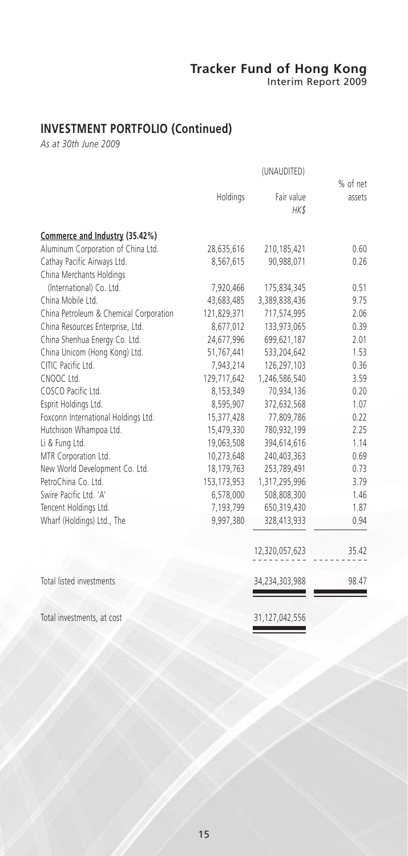Interim Report 2009

# **INVESTMENT PORTFOLIO (Continued)**

*As at 30th June 2009*

|                                        | Holdings      | Fair value     | % of net<br>assets |
|----------------------------------------|---------------|----------------|--------------------|
|                                        |               | HK\$           |                    |
| Commerce and Industry (35.42%)         |               |                |                    |
| Aluminum Corporation of China Ltd.     | 28,635,616    | 210,185,421    | 0.60               |
| Cathay Pacific Airways Ltd.            | 8,567,615     | 90,988,071     | 0.26               |
| China Merchants Holdings               |               |                |                    |
| (International) Co. Ltd.               | 7,920,466     | 175,834,345    | 0.51               |
| China Mobile Ltd.                      | 43,683,485    | 3,389,838,436  | 9.75               |
| China Petroleum & Chemical Corporation | 121,829,371   | 717,574,995    | 2.06               |
| China Resources Enterprise, Ltd.       | 8,677,012     | 133,973,065    | 0.39               |
| China Shenhua Energy Co. Ltd.          | 24,677,996    | 699,621,187    | 2.01               |
| China Unicom (Hong Kong) Ltd.          | 51,767,441    | 533,204,642    | 1.53               |
| CITIC Pacific Ltd.                     | 7,943,214     | 126,297,103    | 0.36               |
| CNOOC Ltd.                             | 129,717,642   | 1,246,586,540  | 3.59               |
| COSCO Pacific Ltd.                     | 8,153,349     | 70,934,136     | 0.20               |
| Esprit Holdings Ltd.                   | 8,595,907     | 372,632,568    | 1.07               |
| Foxconn International Holdings Ltd.    | 15,377,428    | 77,809,786     | 0.22               |
| Hutchison Whampoa Ltd.                 | 15,479,330    | 780,932,199    | 2.25               |
| Li & Fung Ltd.                         | 19,063,508    | 394,614,616    | 1.14               |
| MTR Corporation Ltd.                   | 10,273,648    | 240,403,363    | 0.69               |
| New World Development Co. Ltd.         | 18,179,763    | 253,789,491    | 0.73               |
| PetroChina Co. Ltd.                    | 153, 173, 953 | 1,317,295,996  | 3.79               |
| Swire Pacific Ltd. 'A'                 | 6,578,000     | 508,808,300    | 1.46               |
| Tencent Holdings Ltd.                  | 7,193,799     | 650,319,430    | 1.87               |
| Wharf (Holdings) Ltd., The             | 9,997,380     | 328,413,933    | 0.94               |
|                                        |               | 12,320,057,623 | 35.42              |
| Total listed investments               |               | 34,234,303,988 | 98.47              |
| Total investments, at cost             |               | 31,127,042,556 |                    |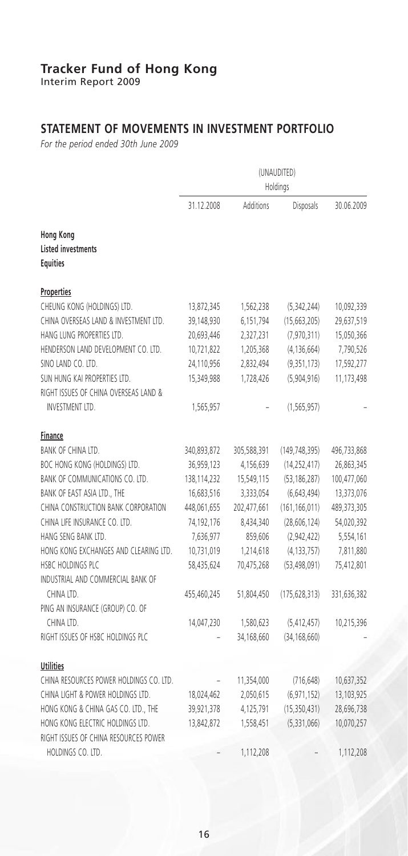Interim Report 2009

# **STATEMENT OF MOVEMENTS IN INVESTMENT PORTFOLIO**

*For the period ended 30th June 2009*

|                                                             | (UNAUDITED)<br>Holdings  |             |                             |                          |
|-------------------------------------------------------------|--------------------------|-------------|-----------------------------|--------------------------|
|                                                             | 31.12.2008               | Additions   | Disposals                   | 30.06.2009               |
| Hong Kong<br><b>Listed investments</b><br><b>Equities</b>   |                          |             |                             |                          |
| <b>Properties</b>                                           |                          |             |                             |                          |
| CHEUNG KONG (HOLDINGS) LTD.                                 | 13,872,345               | 1,562,238   | (5, 342, 244)               | 10,092,339               |
| CHINA OVERSEAS LAND & INVESTMENT LTD.                       | 39,148,930               | 6,151,794   | (15, 663, 205)              | 29,637,519               |
| HANG LUNG PROPERTIES LTD.                                   | 20,693,446               | 2,327,231   | (7,970,311)                 | 15,050,366               |
| HENDERSON LAND DEVELOPMENT CO. LTD.                         | 10,721,822               | 1,205,368   | (4, 136, 664)               | 7,790,526                |
| SINO LAND CO. LTD.                                          | 24,110,956               | 2,832,494   | (9, 351, 173)               | 17,592,277               |
| SUN HUNG KAI PROPERTIES LTD.                                | 15,349,988               | 1,728,426   | (5,904,916)                 | 11,173,498               |
| RIGHT ISSUES OF CHINA OVERSEAS LAND &                       |                          |             |                             |                          |
| <b>INVESTMENT LTD.</b>                                      | 1,565,957                |             | (1, 565, 957)               |                          |
| <b>Finance</b>                                              |                          |             |                             |                          |
| BANK OF CHINA LTD.                                          | 340,893,872              | 305,588,391 | (149, 748, 395)             | 496,733,868              |
| BOC HONG KONG (HOLDINGS) LTD.                               | 36,959,123               | 4,156,639   | (14, 252, 417)              | 26,863,345               |
| BANK OF COMMUNICATIONS CO. LTD.                             | 138,114,232              | 15,549,115  | (53, 186, 287)              | 100,477,060              |
| BANK OF EAST ASIA LTD., THE                                 | 16,683,516               | 3,333,054   | (6, 643, 494)               | 13,373,076               |
| CHINA CONSTRUCTION BANK CORPORATION                         | 448,061,655              | 202,477,661 | (161, 166, 011)             | 489, 373, 305            |
| CHINA LIFE INSURANCE CO. LTD.                               | 74,192,176               | 8,434,340   | (28, 606, 124)              | 54,020,392               |
| HANG SENG BANK LTD.                                         | 7,636,977                | 859,606     | (2,942,422)                 | 5,554,161                |
| HONG KONG EXCHANGES AND CLEARING LTD.                       | 10,731,019               | 1,214,618   | (4, 133, 757)               | 7,811,880                |
| HSBC HOLDINGS PLC                                           | 58,435,624               | 70,475,268  | (53, 498, 091)              | 75,412,801               |
| INDUSTRIAL AND COMMERCIAL BANK OF                           |                          |             |                             |                          |
| CHINA LTD.                                                  | 455,460,245              | 51,804,450  | (175, 628, 313)             | 331,636,382              |
| PING AN INSURANCE (GROUP) CO. OF                            |                          |             |                             |                          |
| CHINA LTD.                                                  | 14,047,230               | 1,580,623   | (5, 412, 457)               | 10,215,396               |
| RIGHT ISSUES OF HSBC HOLDINGS PLC                           |                          | 34,168,660  | (34, 168, 660)              |                          |
|                                                             |                          |             |                             |                          |
| <b>Utilities</b><br>CHINA RESOURCES POWER HOLDINGS CO. LTD. |                          |             |                             | 10,637,352               |
| CHINA LIGHT & POWER HOLDINGS LTD.                           |                          | 11,354,000  | (716, 648)<br>(6, 971, 152) |                          |
| HONG KONG & CHINA GAS CO. LTD., THE                         | 18,024,462               | 2,050,615   |                             | 13,103,925               |
| HONG KONG ELECTRIC HOLDINGS LTD.                            | 39,921,378<br>13,842,872 | 4,125,791   | (15, 350, 431)              | 28,696,738<br>10,070,257 |
| RIGHT ISSUES OF CHINA RESOURCES POWER                       |                          | 1,558,451   | (5, 331, 066)               |                          |
| HOLDINGS CO. LTD.                                           |                          |             |                             |                          |
|                                                             |                          | 1,112,208   |                             | 1,112,208                |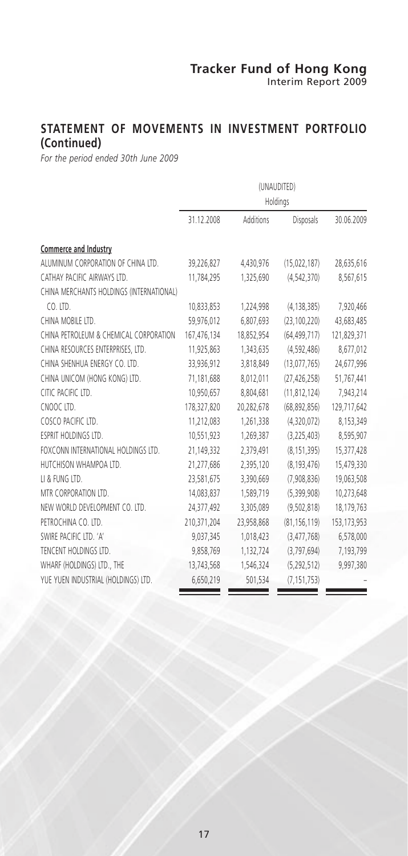### **STATEMENT OF MOVEMENTS IN INVESTMENT PORTFOLIO (Continued)**

*For the period ended 30th June 2009*

|                                          | (UNAUDITED)<br>Holdings |            |                  |               |
|------------------------------------------|-------------------------|------------|------------------|---------------|
|                                          | 31.12.2008              | Additions  | <b>Disposals</b> | 30.06.2009    |
| Commerce and Industry                    |                         |            |                  |               |
| ALUMINUM CORPORATION OF CHINA LTD.       | 39,226,827              | 4,430,976  | (15,022,187)     | 28,635,616    |
| CATHAY PACIFIC AIRWAYS LTD.              | 11,784,295              | 1,325,690  | (4, 542, 370)    | 8,567,615     |
| CHINA MERCHANTS HOLDINGS (INTERNATIONAL) |                         |            |                  |               |
| CO. LTD.                                 | 10,833,853              | 1,224,998  | (4, 138, 385)    | 7,920,466     |
| CHINA MOBILE LTD.                        | 59,976,012              | 6,807,693  | (23, 100, 220)   | 43,683,485    |
| CHINA PETROLEUM & CHEMICAL CORPORATION   | 167,476,134             | 18,852,954 | (64, 499, 717)   | 121,829,371   |
| CHINA RESOURCES ENTERPRISES, LTD.        | 11,925,863              | 1,343,635  | (4, 592, 486)    | 8,677,012     |
| CHINA SHENHUA ENERGY CO. LTD.            | 33,936,912              | 3,818,849  | (13,077,765)     | 24,677,996    |
| CHINA UNICOM (HONG KONG) LTD.            | 71,181,688              | 8,012,011  | (27, 426, 258)   | 51,767,441    |
| CITIC PACIFIC LTD.                       | 10,950,657              | 8.804.681  | (11, 812, 124)   | 7,943,214     |
| CNOOC LTD.                               | 178,327,820             | 20.282.678 | (68, 892, 856)   | 129,717,642   |
| COSCO PACIFIC LTD.                       | 11,212,083              | 1,261,338  | (4,320,072)      | 8,153,349     |
| ESPRIT HOLDINGS LTD.                     | 10,551,923              | 1,269,387  | (3,225,403)      | 8,595,907     |
| FOXCONN INTERNATIONAL HOLDINGS LTD.      | 21,149,332              | 2,379,491  | (8, 151, 395)    | 15,377,428    |
| HUTCHISON WHAMPOA LTD.                   | 21,277,686              | 2,395,120  | (8, 193, 476)    | 15,479,330    |
| LI & FUNG LTD.                           | 23,581,675              | 3,390,669  | (7,908,836)      | 19,063,508    |
| MTR CORPORATION LTD.                     | 14,083,837              | 1,589,719  | (5, 399, 908)    | 10,273,648    |
| NEW WORLD DEVELOPMENT CO. LTD.           | 24,377,492              | 3,305,089  | (9.502.818)      | 18,179,763    |
| PETROCHINA CO. LTD.                      | 210,371,204             | 23,958,868 | (81, 156, 119)   | 153, 173, 953 |
| SWIRE PACIFIC LTD. 'A'                   | 9,037,345               | 1,018,423  | (3,477,768)      | 6,578,000     |
| TENCENT HOLDINGS LTD.                    | 9,858,769               | 1,132,724  | (3, 797, 694)    | 7,193,799     |
| WHARF (HOLDINGS) LTD., THE               | 13,743,568              | 1,546,324  | (5, 292, 512)    | 9,997,380     |
| YUE YUEN INDUSTRIAL (HOLDINGS) LTD.      | 6,650,219               | 501,534    | (7, 151, 753)    |               |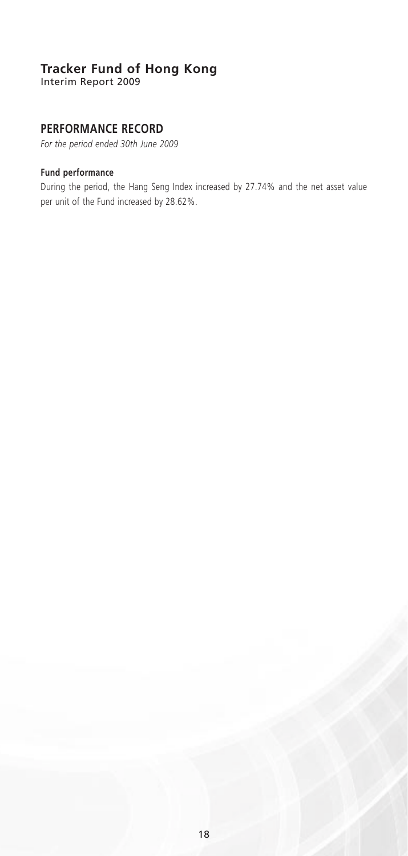Interim Report 2009

### **PERFORMANCE RECORD**

*For the period ended 30th June 2009*

### **Fund performance**

During the period, the Hang Seng Index increased by 27.74% and the net asset value per unit of the Fund increased by 28.62%.